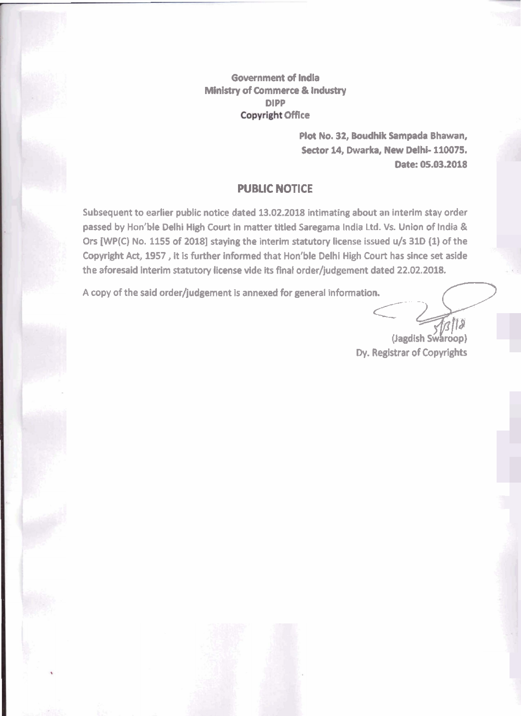**Government of India Ministry of Commeree** & **industry DlPP Copyright Office** 

> Plot No. 32, Boudhik Sampada Bhawan, **Sector 14, Dwarka, New Delhi- 110075,**  Date: 05.03.2018

## **PUBUC NOTICE**

Subsequent to earlier public notice dated 13.02.2018 intimating about an interim stay order **passed by Hon'b4e Delhi High Court in matter titled Saregama India Ltd. Vs. Union of India** & **Ors [WP(C) No. 1155 of 20181 staying the interim statutory license issued u/s 310 (1) of the Copyright Act, 1957, It Is further informed that Hoon'ble Delhi High Court has since set aside the aforesaid interim statutory license vide** its **final order/judgement dated 22.02.2018. A copyright Act, 1957**, it is further informed that Hon'ble Delhi High Court has since set aside the aforesaid interim statutory license vide its final order/judgement dated 22.02.2018.<br>
A copy of the said order/judgement

**Dy. Registrar of Copyrights**